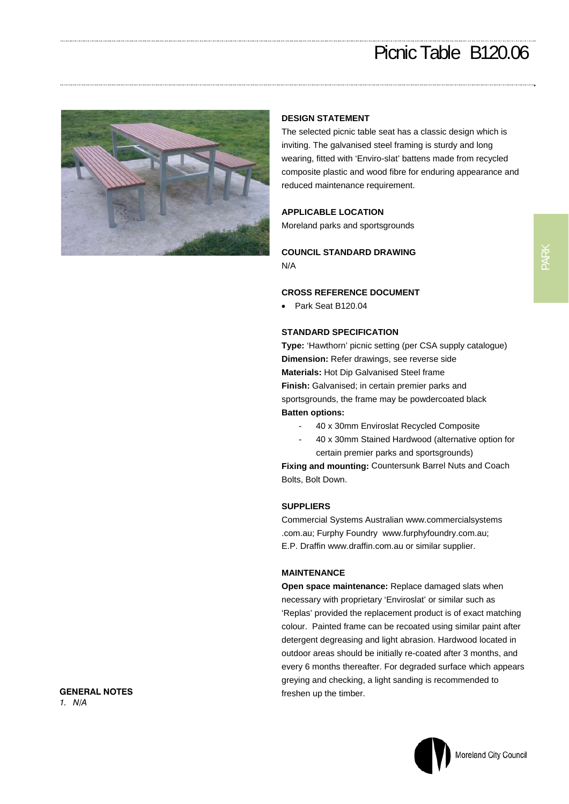# Picnic Table B120.06



### **DESIGN STATEMENT**

The selected picnic table seat has a classic design which is inviting. The galvanised steel framing is sturdy and long wearing, fitted with 'Enviro-slat' battens made from recycled composite plastic and wood fibre for enduring appearance and reduced maintenance requirement.

#### **APPLICABLE LOCATION**

Moreland parks and sportsgrounds

# **COUNCIL STANDARD DRAWING**  N/A

## **CROSS REFERENCE DOCUMENT**

Park Seat B120.04

#### **STANDARD SPECIFICATION**

**Type:** 'Hawthorn' picnic setting (per CSA supply catalogue) **Dimension:** Refer drawings, see reverse side **Materials:** Hot Dip Galvanised Steel frame **Finish:** Galvanised; in certain premier parks and sportsgrounds, the frame may be powdercoated black **Batten options:** 

- 40 x 30mm Enviroslat Recycled Composite
- 40 x 30mm Stained Hardwood (alternative option for certain premier parks and sportsgrounds)

**Fixing and mounting:** Countersunk Barrel Nuts and Coach Bolts, Bolt Down.

### **SUPPLIERS**

Commercial Systems Australian www.commercialsystems .com.au; Furphy Foundry www.furphyfoundry.com.au; E.P. Draffin www.draffin.com.au or similar supplier.

#### **MAINTENANCE**

**Open space maintenance:** Replace damaged slats when necessary with proprietary 'Enviroslat' or similar such as 'Replas' provided the replacement product is of exact matching colour. Painted frame can be recoated using similar paint after detergent degreasing and light abrasion. Hardwood located in outdoor areas should be initially re-coated after 3 months, and every 6 months thereafter. For degraded surface which appears greying and checking, a light sanding is recommended to freshen up the timber.

PARK

**GENERAL NOTES**  *1. N/A*